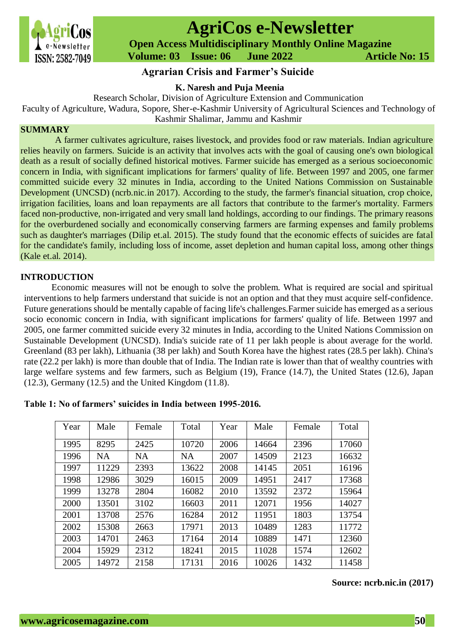

# **AgriCos e-Newsletter**

 **Open Access Multidisciplinary Monthly Online Magazine**

 **Volume: 03 Issue: 06 June 2022 Article No: 15**

# **Agrarian Crisis and Farmer's Suicide**

## **K. Naresh and Puja Meenia**

Research Scholar, Division of Agriculture Extension and Communication

Faculty of Agriculture, Wadura, Sopore, Sher-e-Kashmir University of Agricultural Sciences and Technology of

Kashmir Shalimar, Jammu and Kashmir

# **SUMMARY**

A farmer cultivates agriculture, raises livestock, and provides food or raw materials. Indian agriculture relies heavily on farmers. Suicide is an activity that involves acts with the goal of causing one's own biological death as a result of socially defined historical motives. Farmer suicide has emerged as a serious socioeconomic concern in India, with significant implications for farmers' quality of life. Between 1997 and 2005, one farmer committed suicide every 32 minutes in India, according to the United Nations Commission on Sustainable Development (UNCSD) (ncrb.nic.in 2017). According to the study, the farmer's financial situation, crop choice, irrigation facilities, loans and loan repayments are all factors that contribute to the farmer's mortality. Farmers faced non-productive, non-irrigated and very small land holdings, according to our findings. The primary reasons for the overburdened socially and economically conserving farmers are farming expenses and family problems such as daughter's marriages (Dilip et.al. 2015). The study found that the economic effects of suicides are fatal for the candidate's family, including loss of income, asset depletion and human capital loss, among other things (Kale et.al. 2014).

#### **INTRODUCTION**

Economic measures will not be enough to solve the problem. What is required are social and spiritual interventions to help farmers understand that suicide is not an option and that they must acquire self-confidence. Future generations should be mentally capable of facing life's challenges.Farmer suicide has emerged as a serious socio economic concern in India, with significant implications for farmers' quality of life. Between 1997 and 2005, one farmer committed suicide every 32 minutes in India, according to the United Nations Commission on Sustainable Development (UNCSD). India's suicide rate of 11 per lakh people is about average for the world. Greenland (83 per lakh), Lithuania (38 per lakh) and South Korea have the highest rates (28.5 per lakh). China's rate (22.2 per lakh) is more than double that of India. The Indian rate is lower than that of wealthy countries with large welfare systems and few farmers, such as Belgium (19), France (14.7), the United States (12.6), Japan (12.3), Germany (12.5) and the United Kingdom (11.8).

| Year | Male      | Female    | Total     | Year | Male  | Female | Total |
|------|-----------|-----------|-----------|------|-------|--------|-------|
| 1995 | 8295      | 2425      | 10720     | 2006 | 14664 | 2396   | 17060 |
| 1996 | <b>NA</b> | <b>NA</b> | <b>NA</b> | 2007 | 14509 | 2123   | 16632 |
| 1997 | 11229     | 2393      | 13622     | 2008 | 14145 | 2051   | 16196 |
| 1998 | 12986     | 3029      | 16015     | 2009 | 14951 | 2417   | 17368 |
| 1999 | 13278     | 2804      | 16082     | 2010 | 13592 | 2372   | 15964 |
| 2000 | 13501     | 3102      | 16603     | 2011 | 12071 | 1956   | 14027 |
| 2001 | 13708     | 2576      | 16284     | 2012 | 11951 | 1803   | 13754 |
| 2002 | 15308     | 2663      | 17971     | 2013 | 10489 | 1283   | 11772 |
| 2003 | 14701     | 2463      | 17164     | 2014 | 10889 | 1471   | 12360 |
| 2004 | 15929     | 2312      | 18241     | 2015 | 11028 | 1574   | 12602 |
| 2005 | 14972     | 2158      | 17131     | 2016 | 10026 | 1432   | 11458 |

#### **Table 1: No of farmers' suicides in India between 1995-2016.**

# **Source: ncrb.nic.in (2017)**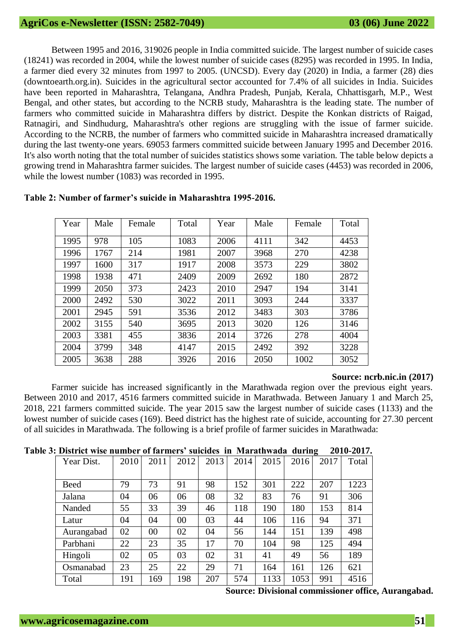Between 1995 and 2016, 319026 people in India committed suicide. The largest number of suicide cases (18241) was recorded in 2004, while the lowest number of suicide cases (8295) was recorded in 1995. In India, a farmer died every 32 minutes from 1997 to 2005. (UNCSD). Every day (2020) in India, a farmer (28) dies (downtoearth.org.in). Suicides in the agricultural sector accounted for 7.4% of all suicides in India. Suicides have been reported in Maharashtra, Telangana, Andhra Pradesh, Punjab, Kerala, Chhattisgarh, M.P., West Bengal, and other states, but according to the NCRB study, Maharashtra is the leading state. The number of farmers who committed suicide in Maharashtra differs by district. Despite the Konkan districts of Raigad, Ratnagiri, and Sindhudurg, Maharashtra's other regions are struggling with the issue of farmer suicide. According to the NCRB, the number of farmers who committed suicide in Maharashtra increased dramatically during the last twenty-one years. 69053 farmers committed suicide between January 1995 and December 2016. It's also worth noting that the total number of suicides statistics shows some variation. The table below depicts a growing trend in Maharashtra farmer suicides. The largest number of suicide cases (4453) was recorded in 2006, while the lowest number (1083) was recorded in 1995.

| Year | Male | Female | Total | Year | Male | Female | Total |
|------|------|--------|-------|------|------|--------|-------|
| 1995 | 978  | 105    | 1083  | 2006 | 4111 | 342    | 4453  |
| 1996 | 1767 | 214    | 1981  | 2007 | 3968 | 270    | 4238  |
| 1997 | 1600 | 317    | 1917  | 2008 | 3573 | 229    | 3802  |
| 1998 | 1938 | 471    | 2409  | 2009 | 2692 | 180    | 2872  |
| 1999 | 2050 | 373    | 2423  | 2010 | 2947 | 194    | 3141  |
| 2000 | 2492 | 530    | 3022  | 2011 | 3093 | 244    | 3337  |
| 2001 | 2945 | 591    | 3536  | 2012 | 3483 | 303    | 3786  |
| 2002 | 3155 | 540    | 3695  | 2013 | 3020 | 126    | 3146  |
| 2003 | 3381 | 455    | 3836  | 2014 | 3726 | 278    | 4004  |
| 2004 | 3799 | 348    | 4147  | 2015 | 2492 | 392    | 3228  |
| 2005 | 3638 | 288    | 3926  | 2016 | 2050 | 1002   | 3052  |

#### **Table 2: Number of farmer's suicide in Maharashtra 1995-2016.**

#### **Source: ncrb.nic.in (2017)**

Farmer suicide has increased significantly in the Marathwada region over the previous eight years. Between 2010 and 2017, 4516 farmers committed suicide in Marathwada. Between January 1 and March 25, 2018, 221 farmers committed suicide. The year 2015 saw the largest number of suicide cases (1133) and the lowest number of suicide cases (169). Beed district has the highest rate of suicide, accounting for 27.30 percent of all suicides in Marathwada. The following is a brief profile of farmer suicides in Marathwada:

#### **Table 3: District wise number of farmers' suicides in Marathwada during 2010-2017.**

| Year Dist.  | 2010 | 2011 | 2012 | 2013 | 2014 | 2015 | 2016 | 2017 | Total |
|-------------|------|------|------|------|------|------|------|------|-------|
|             |      |      |      |      |      |      |      |      |       |
| <b>Beed</b> | 79   | 73   | 91   | 98   | 152  | 301  | 222  | 207  | 1223  |
| Jalana      | 04   | 06   | 06   | 08   | 32   | 83   | 76   | 91   | 306   |
| Nanded      | 55   | 33   | 39   | 46   | 118  | 190  | 180  | 153  | 814   |
| Latur       | 04   | 04   | 00   | 03   | 44   | 106  | 116  | 94   | 371   |
| Aurangabad  | 02   | 00   | 02   | 04   | 56   | 144  | 151  | 139  | 498   |
| Parbhani    | 22   | 23   | 35   | 17   | 70   | 104  | 98   | 125  | 494   |
| Hingoli     | 02   | 05   | 03   | 02   | 31   | 41   | 49   | 56   | 189   |
| Osmanabad   | 23   | 25   | 22   | 29   | 71   | 164  | 161  | 126  | 621   |
| Total       | 191  | 169  | 198  | 207  | 574  | 1133 | 1053 | 991  | 4516  |

**Source: Divisional commissioner office, Aurangabad.**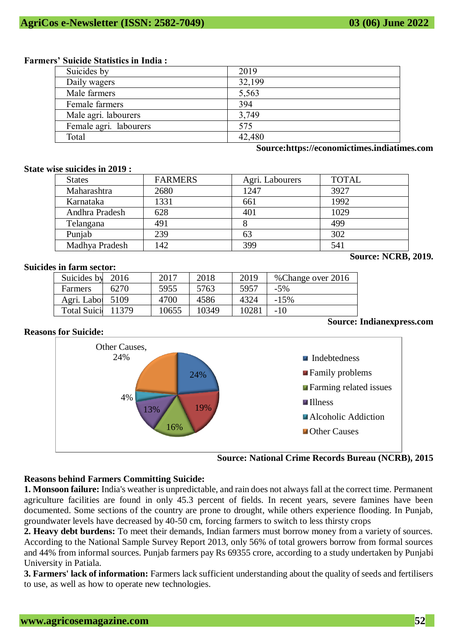#### **Farmers' Suicide Statistics in India :**

| Suicides by            | 2019   |
|------------------------|--------|
| Daily wagers           | 32,199 |
| Male farmers           | 5,563  |
| Female farmers         | 394    |
| Male agri. labourers   | 3,749  |
| Female agri. labourers | 575    |
| Total                  | 42,480 |

**Source:https://economictimes.indiatimes.com**

#### **State wise suicides in 2019 :**

| <b>States</b>  | <b>FARMERS</b> | Agri. Labourers | <b>TOTAL</b> |
|----------------|----------------|-----------------|--------------|
| Maharashtra    | 2680           | 1247            | 3927         |
| Karnataka      | 1331           | 661             | 1992         |
| Andhra Pradesh | 628            | 401             | 1029         |
| Telangana      | 491            |                 | 499          |
| Punjab         | 239            | 63              | 302          |
| Madhya Pradesh | 142            | 399             | 541          |

## **Suicides in farm sector:**

| Suicides by         | 2016  | 2017  | 2018  | 2019  | % Change over 2016               |
|---------------------|-------|-------|-------|-------|----------------------------------|
| Farmers             | 6270  | 5955  | 5763  | 5957  | $-5%$                            |
| Agri. Labor         | 5109  | 4700  | 4586  | 4324  | $-15%$                           |
| <b>Total Suicid</b> | 11379 | 10655 | 10349 | 10281 | $-10$                            |
|                     |       |       |       |       | <b>Source: Indianexpress.com</b> |

## **Reasons for Suicide:**



**Source: National Crime Records Bureau (NCRB), 2015** 

# **Reasons behind Farmers Committing Suicide:**

**1. Monsoon failure:** India's weather is unpredictable, and rain does not always fall at the correct time. Permanent agriculture facilities are found in only 45.3 percent of fields. In recent years, severe famines have been documented. Some sections of the country are prone to drought, while others experience flooding. In Punjab, groundwater levels have decreased by 40-50 cm, forcing farmers to switch to less thirsty crops

**2. Heavy debt burdens:** To meet their demands, Indian farmers must borrow money from a variety of sources. According to the National Sample Survey Report 2013, only 56% of total growers borrow from formal sources and 44% from informal sources. Punjab farmers pay Rs 69355 crore, according to a study undertaken by Punjabi University in Patiala.

**3. Farmers' lack of information:** Farmers lack sufficient understanding about the quality of seeds and fertilisers to use, as well as how to operate new technologies.

**Source: NCRB, 2019.**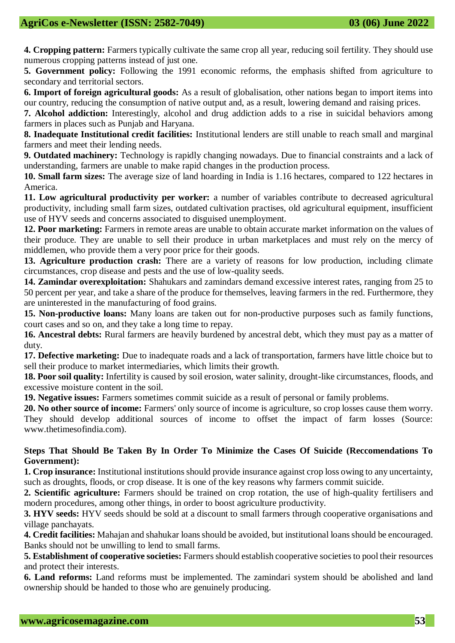**4. Cropping pattern:** Farmers typically cultivate the same crop all year, reducing soil fertility. They should use numerous cropping patterns instead of just one.

**5. Government policy:** Following the 1991 economic reforms, the emphasis shifted from agriculture to secondary and territorial sectors.

**6. Import of foreign agricultural goods:** As a result of globalisation, other nations began to import items into our country, reducing the consumption of native output and, as a result, lowering demand and raising prices.

**7. Alcohol addiction:** Interestingly, alcohol and drug addiction adds to a rise in suicidal behaviors among farmers in places such as Punjab and Haryana.

**8. Inadequate Institutional credit facilities:** Institutional lenders are still unable to reach small and marginal farmers and meet their lending needs.

**9. Outdated machinery:** Technology is rapidly changing nowadays. Due to financial constraints and a lack of understanding, farmers are unable to make rapid changes in the production process.

**10. Small farm sizes:** The average size of land hoarding in India is 1.16 hectares, compared to 122 hectares in America.

**11. Low agricultural productivity per worker:** a number of variables contribute to decreased agricultural productivity, including small farm sizes, outdated cultivation practises, old agricultural equipment, insufficient use of HYV seeds and concerns associated to disguised unemployment.

**12. Poor marketing:** Farmers in remote areas are unable to obtain accurate market information on the values of their produce. They are unable to sell their produce in urban marketplaces and must rely on the mercy of middlemen, who provide them a very poor price for their goods.

**13. Agriculture production crash:** There are a variety of reasons for low production, including climate circumstances, crop disease and pests and the use of low-quality seeds.

**14. Zamindar overexploitation:** Shahukars and zamindars demand excessive interest rates, ranging from 25 to 50 percent per year, and take a share of the produce for themselves, leaving farmers in the red. Furthermore, they are uninterested in the manufacturing of food grains.

**15. Non-productive loans:** Many loans are taken out for non-productive purposes such as family functions, court cases and so on, and they take a long time to repay.

**16. Ancestral debts:** Rural farmers are heavily burdened by ancestral debt, which they must pay as a matter of duty.

**17. Defective marketing:** Due to inadequate roads and a lack of transportation, farmers have little choice but to sell their produce to market intermediaries, which limits their growth.

**18. Poor soil quality:** Infertility is caused by soil erosion, water salinity, drought-like circumstances, floods, and excessive moisture content in the soil.

**19. Negative issues:** Farmers sometimes commit suicide as a result of personal or family problems.

**20. No other source of income:** Farmers' only source of income is agriculture, so crop losses cause them worry. They should develop additional sources of income to offset the impact of farm losses (Source: www.thetimesofindia.com).

## **Steps That Should Be Taken By In Order To Minimize the Cases Of Suicide (Reccomendations To Government):**

**1. Crop insurance:** Institutional institutions should provide insurance against crop loss owing to any uncertainty, such as droughts, floods, or crop disease. It is one of the key reasons why farmers commit suicide.

**2. Scientific agriculture:** Farmers should be trained on crop rotation, the use of high-quality fertilisers and modern procedures, among other things, in order to boost agriculture productivity.

**3. HYV seeds:** HYV seeds should be sold at a discount to small farmers through cooperative organisations and village panchayats.

**4. Credit facilities:** Mahajan and shahukar loans should be avoided, but institutional loans should be encouraged. Banks should not be unwilling to lend to small farms.

**5. Establishment of cooperative societies:** Farmers should establish cooperative societies to pool their resources and protect their interests.

**6. Land reforms:** Land reforms must be implemented. The zamindari system should be abolished and land ownership should be handed to those who are genuinely producing.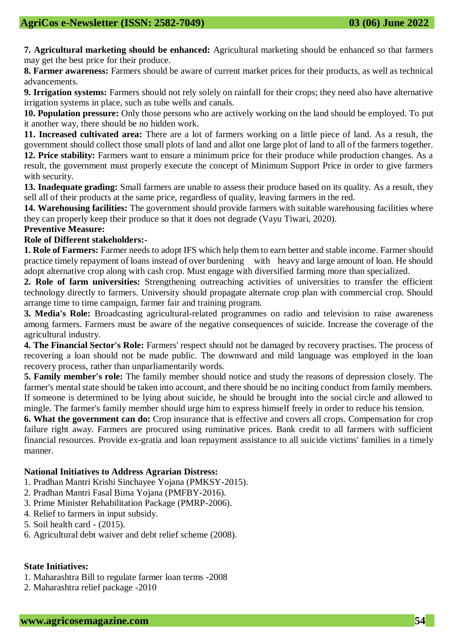**7. Agricultural marketing should be enhanced:** Agricultural marketing should be enhanced so that farmers may get the best price for their produce.

**8. Farmer awareness:** Farmers should be aware of current market prices for their products, as well as technical advancements.

**9. Irrigation systems:** Farmers should not rely solely on rainfall for their crops; they need also have alternative irrigation systems in place, such as tube wells and canals.

**10. Population pressure:** Only those persons who are actively working on the land should be employed. To put it another way, there should be no hidden work.

**11. Increased cultivated area:** There are a lot of farmers working on a little piece of land. As a result, the government should collect those small plots of land and allot one large plot of land to all of the farmers together. **12. Price stability:** Farmers want to ensure a minimum price for their produce while production changes. As a result, the government must properly execute the concept of Minimum Support Price in order to give farmers with security.

**13. Inadequate grading:** Small farmers are unable to assess their produce based on its quality. As a result, they sell all of their products at the same price, regardless of quality, leaving farmers in the red.

**14. Warehousing facilities:** The government should provide farmers with suitable warehousing facilities where they can properly keep their produce so that it does not degrade (Vayu Tiwari, 2020).

# **Preventive Measure:**

# **Role of Different stakeholders:-**

**1. Role of Farmers:** Farmer needs to adopt IFS which help them to earn better and stable income. Farmer should practice timely repayment of loans instead of over burdening with heavy and large amount of loan. He should adopt alternative crop along with cash crop. Must engage with diversified farming more than specialized.

**2. Role of farm universities:** Strengthening outreaching activities of universities to transfer the efficient technology directly to farmers. University should propagate alternate crop plan with commercial crop. Should arrange time to time campaign, farmer fair and training program.

**3. Media's Role:** Broadcasting agricultural-related programmes on radio and television to raise awareness among farmers. Farmers must be aware of the negative consequences of suicide. Increase the coverage of the agricultural industry.

**4. The Financial Sector's Role:** Farmers' respect should not be damaged by recovery practises. The process of recovering a loan should not be made public. The downward and mild language was employed in the loan recovery process, rather than unparliamentarily words.

**5. Family member's role:** The family member should notice and study the reasons of depression closely. The farmer's mental state should be taken into account, and there should be no inciting conduct from family members. If someone is determined to be lying about suicide, he should be brought into the social circle and allowed to mingle. The farmer's family member should urge him to express himself freely in order to reduce his tension.

**6. What the government can do:** Crop insurance that is effective and covers all crops. Compensation for crop failure right away. Farmers are procured using ruminative prices. Bank credit to all farmers with sufficient financial resources. Provide ex-gratia and loan repayment assistance to all suicide victims' families in a timely manner.

## **National Initiatives to Address Agrarian Distress:**

1. Pradhan Mantri Krishi Sinchayee Yojana (PMKSY-2015).

- 2. Pradhan Mantri Fasal Bima Yojana (PMFBY-2016).
- 3. Prime Minister Rehabilitation Package (PMRP-2006).
- 4. Relief to farmers in input subsidy.
- 5. Soil health card (2015).
- 6. Agricultural debt waiver and debt relief scheme (2008).

## **State Initiatives:**

- 1. Maharashtra Bill to regulate farmer loan terms -2008
- 2. Maharashtra relief package -2010